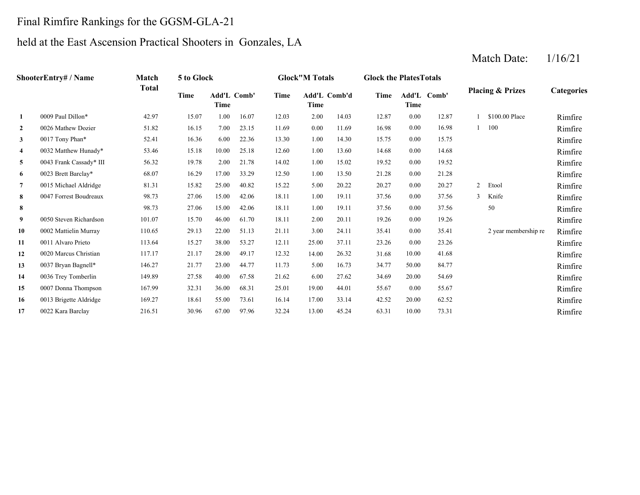## Final Rimfire Rankings for the GGSM-GLA-21

## held at the East Ascension Practical Shooters in Gonzales, LA

#### **2**2 0026 Mathew Dozier 6 1.82 16.15 7.00 23.15 11.69 0.00 11.69 16.98 0.00 16.98 1 100 Rimfire Rimfire **3**3 0017 Tony Phan\* 52.41 16.36 6.00 22.36 13.30 1.00 14.30 15.75 0.00 15.75 1.575 1.00 16.75 Rimfire **4**4 0032 Matthew Hunady\* 53.46 15.18 10.00 25.18 12.60 1.00 13.60 14.68 0.00 14.68 14.68 Rimfire **5** 1.00 19.52 Rimfire**6**6 0023 Brett Barclay\* 68.07 16.29 17.00 33.29 12.50 1.00 13.50 21.28 0.00 21.28 11 **7** 5.00 20.27 Rimfire**8**8 0047 Forrest Boudreaux 598.73 27.06 15.00 42.06 18.11 1.00 19.11 37.56 0.00 37.56 3 Knife – Rimfire **8**8 98.73 27.06 15.00 42.06 18.11 1.00 19.11 37.56 0.00 37.56 50 Rimfire **9**2.00 9 0050 Steven Richardson 101.07 15.70 46.00 61.70 18.11 2.00 20.11 19.26 0.00 19.26 19.26 Rimfire Rimfire **10**0 0002 Mattielin Murray 110.65 29.13 22.00 51.13 21.11 3.00 24.11 35.41 0.00 35.41 2 year membership re Rimfire Rimfire **11** 25.00 23.26 RimfireRimfire **12**2 0020 Marcus Christian 117.17 21.17 28.00 49.17 12.32 14.00 26.32 31.68 10.00 41.68 Rimfire **13**3 0037 Bryan Bagnell\* 146.27 21.77 23.00 44.77 11.73 5.00 16.73 34.77 50.00 84.77 1.73 Rimfire **14** 6.00 34.69 Rimfire**15** 19.00 55.67 Rimfire**16**6 0013 Brigette Aldridge 169.27 18.61 55.00 73.61 16.14 17.00 33.14 42.52 20.00 62.52 16.14 Primfire **17** 13.00 63.31 45.24 10.00 73.31 RimfireRimfire 33.14 20.00 62.52 0022 Kara Barclay 216.51 30.96 67.00 97.96 32.24 44.01 55.67 0.00 55.67 0013 Brigette Aldridge 169.27 18.61 55.00 73.61 16.14 27.62 34.69 20.00 54.69 0007 Donna Thompson 167.99 32.31 36.00 68.31 25.01 16.73 50.00 84.77 0036 Trey Tomberlin 149.89 27.58 40.00 67.58 21.62 26.32 31.68 10.00 41.68 0037 Bryan Bagnell\* 146.27 21.77 23.00 44.77 11.73 37.11 23.26 0.00 23.26 0020 Marcus Christian 117.17 21.17 28.00 49.17 12.32 0.00 35.41 2 year membership re 0011 Alvaro Prieto 113.64 15.27 38.00 53.27 12.11 0.00 19.26 0002 Mattielin Murray 110.65 29.13 22.00 51.13 21.11 3.00 24.11 37.56 50 3 Knife 98.73 27.06 15.00 42.06 18.11 1.00 19.11 37.56 0.00 0047 Forrest Boudreaux 88.73 27.06 15.00 42.06 18.11 1.00 19.11 37.56 0.00 37.56 15.22 20.22 0.00 20.27 2 Etool 12.50 13.50 0.00 21.28 0015 Michael Aldridge 81.31 15.82 25.00 40.82 14.02 15.02 0.00 19.52 0023 Brett Barclay\* 68.07 16.29 17.00 33.29 12.60 13.60 0.00 14.68 0043 Frank Cassady\* III 56.32 19.78 2.00 21.78 13.30 14.30 0.00 15.75 0032 Matthew Hunady\* 53.46 15.18 10.00 25.18 0.00 16.98 1 100 0017 Tony Phan\* 52.41 16.36 6.00 22.36 1 \$100.00 Place Rimfire 0026 Mathew Dozier 51.82 16.15 7.00 23.15 11.69 0.00 11.69 **1**0009 Paul Dillon\* 42.97 15.07 1.00 16.07 12.03 2.00 14.03 12.87 0.00 12.87 **Categories Time Add'L Time Comb' Time Add'L Comb'd Time Add'L Time Time Comb' ShooterEntry# / Name Match Total5 to Glock Glock"M Totals Glock the PlatesTotals Placing & Prizes**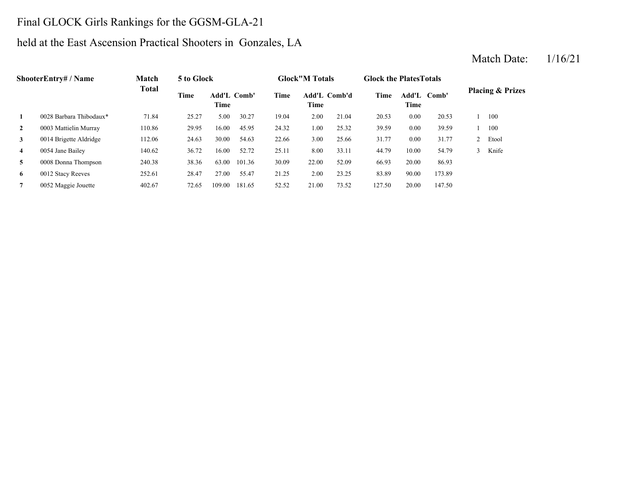# Final GLOCK Girls Rankings for the GGSM-GLA-21

# held at the East Ascension Practical Shooters in Gonzales, LA

| <b>ShooterEntry# / Name</b> |                         | Match  | 5 to Glock |                     |        |       | <b>Glock</b> "M Totals |              | <b>Glock the Plates Totals</b> |                        |        |                             |       |
|-----------------------------|-------------------------|--------|------------|---------------------|--------|-------|------------------------|--------------|--------------------------------|------------------------|--------|-----------------------------|-------|
|                             |                         | Total  | Time       | Add'L Comb'<br>Time |        | Time  | Time                   | Add'L Comb'd | Time                           | Add'L<br>Comb'<br>Time |        | <b>Placing &amp; Prizes</b> |       |
| 1                           | 0028 Barbara Thibodaux* | 71.84  | 25.27      | 5.00                | 30.27  | 19.04 | 2.00                   | 21.04        | 20.53                          | 0.00                   | 20.53  |                             | 100   |
| $\mathbf{2}$                | 0003 Mattielin Murray   | 110.86 | 29.95      | 16.00               | 45.95  | 24.32 | 1.00                   | 25.32        | 39.59                          | 0.00                   | 39.59  |                             | 100   |
| $\mathbf{3}$                | 0014 Brigette Aldridge  | 112.06 | 24.63      | 30.00               | 54.63  | 22.66 | 3.00                   | 25.66        | 31.77                          | 0.00                   | 31.77  |                             | Etool |
| $\overline{4}$              | 0054 Jane Bailey        | 140.62 | 36.72      | 16.00               | 52.72  | 25.11 | 8.00                   | 33.11        | 44.79                          | 10.00                  | 54.79  |                             | Knife |
| 5                           | 0008 Donna Thompson     | 240.38 | 38.36      | 63.00               | 101.36 | 30.09 | 22.00                  | 52.09        | 66.93                          | 20.00                  | 86.93  |                             |       |
| 6                           | 0012 Stacy Reeves       | 252.61 | 28.47      | 27.00               | 55.47  | 21.25 | 2.00                   | 23.25        | 83.89                          | 90.00                  | 173.89 |                             |       |
| $\overline{7}$              | 0052 Maggie Jouette     | 402.67 | 72.65      | 109.00              | 181.65 | 52.52 | 21.00                  | 73.52        | 127.50                         | 20.00                  | 147.50 |                             |       |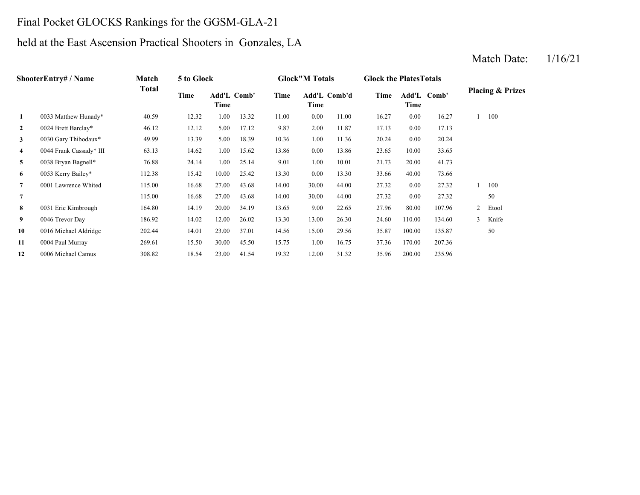## Final Pocket GLOCKS Rankings for the GGSM-GLA-21

# held at the East Ascension Practical Shooters in Gonzales, LA

#### **2** 2.00 17.13 0024 Brett Barclay\* 46.12 12.12 5.00 17.12 9.87 11.87 0.00 **3** 1.00 20.24 0030 Gary Thibodaux\* 49.99 13.39 5.00 18.39 10.36 11.36 0.00 20.24 **4**4 0044 Frank Cassady\* III 63.13 14.62 1.00 15.62 13.86 0.00 13.86 23.65 **5** 1.00 21.73 0038 Bryan Bagnell\* 76.88 24.14 1.00 25.14 9.01 10.01 **6** 0.00 33.66 0053 Kerry Bailey\* 112.38 15.42 10.00 25.42 13.30 13.30 40.00 **7** 30.00 27.32 0001 Lawrence Whited 115.00 16.68 27.00 43.68 14.00 44.00 0.00 27.32 **7** 30.00 27.32 **8** 9.00 27.96 0031 Eric Kimbrough 164.80 14.19 20.00 34.19 13.65 22.65 80.00 107.96 **9** 13.00 24.60 0046 Trevor Day 186.92 14.02 12.00 26.02 13.30 26.30 110.00 **10**0 0016 Michael Aldridge 202.44 14.01 23.00 37.01 14.56 15.00 29.56 35.87 **11**1.0004 Paul Murray 269.61 15.50 30.00 45.50 15.75 1.00 16.75 37.36 **12**2 0006 Michael Camus 308.82 18.54 23.00 41.54 19.32 12.00 31.32 35.96 200.00 235.96 170.00 207.36 100.00 135.87 50 134.60 3 Knife 2 Etool 50 1 100 115.00 16.68 27.00 43.68 14.00 44.00 0.00 27.32 73.6620.00 41.73 13.86 23.65 10.00 33.65 17.13 1 100 **1**0033 Matthew Hunady\* **40.59** 12.32 1.00 13.32 11.00 0.00 11.00 16.27 0.00 16.27 **Placing & Prizes Time Add'L Time Comb' Time Add'L Comb'd Time Add'L Time Time Comb' ShooterEntry# / Name Match Total 5 to Glock Glock"M Totals Glock the PlatesTotals**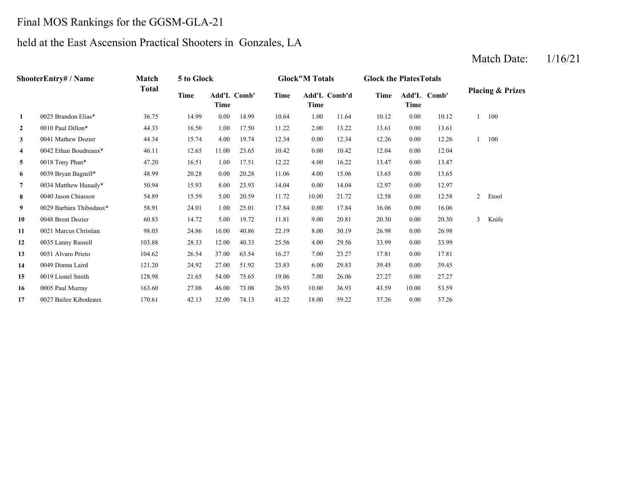### Final MOS Rankings for the GGSM-GLA-21

# held at the East Ascension Practical Shooters in Gonzales, LA

#### **2**2 0010 Paul Dillon\* 44.33 16.50 1.00 17.50 11.22 2.00 13.22 13.61 0.00 **3** 0.00 12.26 0041 Mathew Dozier 44.34 15.74 4.00 19.74 12.34 12.34 0.00 12.26 **4**4 0042 Ethan Boudreaux\* 46.11 12.65 11.00 23.65 10.42 0.00 10.42 12.04 0.00 **5**5 0018 Tony Phan\* 47.20 16.51 1.00 17.51 12.22 4.00 16.22 13.47 0.00 13.47 **6** 4.00 13.65 0039 Bryan Bagnell\* 48.99 20.28 0.00 20.28 11.06 **7** 0.00 12.97 0034 Matthew Hunady\* 50.94 15.93 8.00 23.93 14.04 14.04 **88** 0040 Jason Chiasson 54.89 15.59 5.00 20.59 11.72 10.00 21.72 12.58 0.00 **9** 0.00 16.06 0029 Barbara Thibodaux\* 58.91 24.01 1.00 25.01 17.84 17.84 **10**0 0048 Brent Dozier 60.83 14.72 5.00 19.72 11.81 9.00 20.81 20.30 0.00 **11**1 0021 Marcus Christian 98.03 24.86 16.00 40.86 22.19 8.00 30.19 26.98 **12** 4.00 33.99 0035 Lanny Russell 103.88 28.33 12.00 40.33 25.56 29.56 0.00 **13**3 0051 Alvaro Prieto 104.62 26.54 37.00 63.54 16.27 7.00 23.27 17.81 0.00 17.81 **14** 6.00 39.45 0049 Donna Laird 121.20 24.92 27.00 51.92 23.83 **15**5 0019 Lionel Smith 128.98 21.65 54.00 75.65 19.06 7.00 26.06 27.27 **16** 10.00 43.59 0005 Paul Murray 163.60 27.08 46.00 73.08 26.93 36.93 10.00 **17**7 0027 Bailee Kibodeaux 170.61 42.13 32.00 74.13 41.22 18.00 59.22 37.26 0.00 37.26 53.59 0.00 27.27 29.83 0.00 39.45 33.99 0.00 26.98 20.30 3 Knife 0.00 16.06 12.58 2 Etool 0.00 12.97 15.06 13.65 0.00 13.65 12.041 100 13.61 1 100 **1**0025 Brandon Elias\* 36.75 14.99 0.00 14.99 10.64 1.00 11.64 10.12 0.00 10.12 **Placing & Prizes Time Add'L Time Comb' Time Add'L Comb'd Time Add'L Time Time Comb' ShooterEntry# / Name Match Total 5 to Glock Glock"M Totals Glock the PlatesTotals**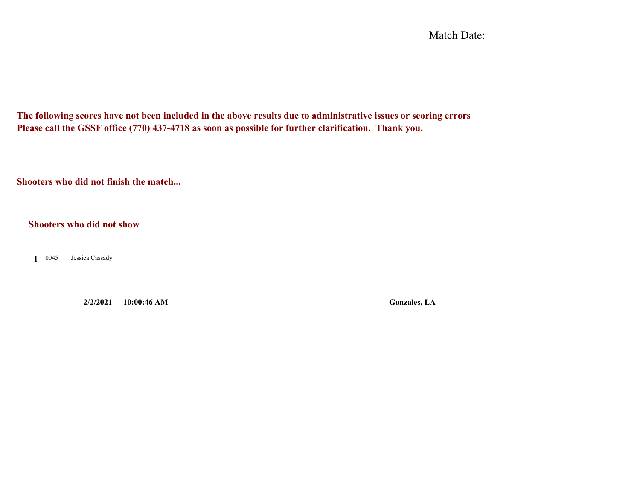Match Date:

**The following scores have not been included in the above results due to administrative issues or scoring errors Please call the GSSF office (770) 437-4718 as soon as possible for further clarification. Thank you.**

**Shooters who did not finish the match...**

**Shooters who did not show**

0045 **1**Jessica Cassady

**2/2/2021 10:00:46 AM Gonzales, LA**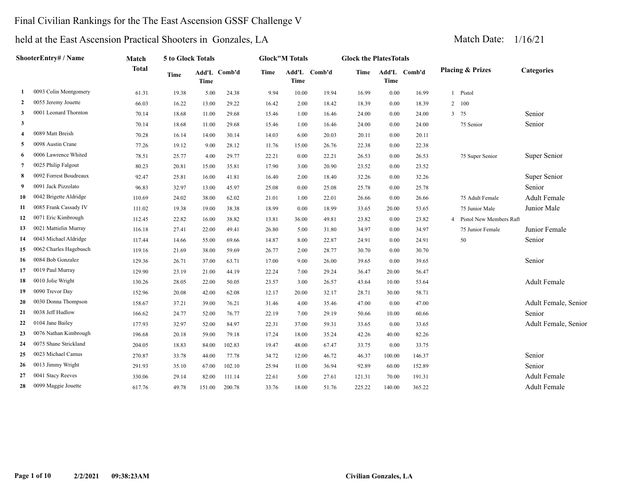# Final Civilian Rankings for the The East Ascension GSSF Challenge V

| ShooterEntry# / Name    |                        | Match        | 5 to Glock Totals |        |              |             | <b>Glock"M Totals</b> |              |        | <b>Glock the PlatesTotals</b> |              |                |                             |                      |
|-------------------------|------------------------|--------------|-------------------|--------|--------------|-------------|-----------------------|--------------|--------|-------------------------------|--------------|----------------|-----------------------------|----------------------|
|                         |                        | <b>Total</b> | <b>Time</b>       | Time   | Add'L Comb'd | <b>Time</b> | <b>Time</b>           | Add'L Comb'd | Time   | <b>Time</b>                   | Add'L Comb'd |                | <b>Placing &amp; Prizes</b> | Categories           |
| -1                      | 0093 Colin Montgomery  | 61.31        | 19.38             | 5.00   | 24.38        | 9.94        | 10.00                 | 19.94        | 16.99  | 0.00                          | 16.99        |                | 1 Pistol                    |                      |
| 2                       | 0055 Jeremy Jouette    | 66.03        | 16.22             | 13.00  | 29.22        | 16.42       | 2.00                  | 18.42        | 18.39  | $0.00\,$                      | 18.39        | $\overline{2}$ | 100                         |                      |
| 3                       | 0001 Leonard Thornton  | 70.14        | 18.68             | 11.00  | 29.68        | 15.46       | 1.00                  | 16.46        | 24.00  | 0.00                          | 24.00        |                | 3 75                        | Senior               |
| $\overline{\mathbf{3}}$ |                        | 70.14        | 18.68             | 11.00  | 29.68        | 15.46       | 1.00                  | 16.46        | 24.00  | 0.00                          | 24.00        |                | 75 Senior                   | Senior               |
| $\overline{4}$          | 0089 Matt Breish       | 70.28        | 16.14             | 14.00  | 30.14        | 14.03       | 6.00                  | 20.03        | 20.11  | 0.00                          | 20.11        |                |                             |                      |
| -5                      | 0098 Austin Crane      | 77.26        | 19.12             | 9.00   | 28.12        | 11.76       | 15.00                 | 26.76        | 22.38  | 0.00                          | 22.38        |                |                             |                      |
| 6                       | 0006 Lawrence Whited   | 78.51        | 25.77             | 4.00   | 29.77        | 22.21       | 0.00                  | 22.21        | 26.53  | 0.00                          | 26.53        |                | 75 Super Senior             | Super Senior         |
| 7                       | 0025 Philip Falgout    | 80.23        | 20.81             | 15.00  | 35.81        | 17.90       | 3.00                  | 20.90        | 23.52  | 0.00                          | 23.52        |                |                             |                      |
| -8                      | 0092 Forrest Boudreaux | 92.47        | 25.81             | 16.00  | 41.81        | 16.40       | 2.00                  | 18.40        | 32.26  | 0.00                          | 32.26        |                |                             | Super Senior         |
| -9                      | 0091 Jack Pizzolato    | 96.83        | 32.97             | 13.00  | 45.97        | 25.08       | 0.00                  | 25.08        | 25.78  | 0.00                          | 25.78        |                |                             | Senior               |
| 10                      | 0042 Brigette Aldridge | 110.69       | 24.02             | 38.00  | 62.02        | 21.01       | 1.00                  | 22.01        | 26.66  | 0.00                          | 26.66        |                | 75 Adult Female             | <b>Adult Female</b>  |
| 11                      | 0085 Frank Cassady IV  | 111.02       | 19.38             | 19.00  | 38.38        | 18.99       | 0.00                  | 18.99        | 33.65  | 20.00                         | 53.65        |                | 75 Junior Male              | Junior Male          |
| 12                      | 0071 Eric Kimbrough    | 112.45       | 22.82             | 16.00  | 38.82        | 13.81       | 36.00                 | 49.81        | 23.82  | 0.00                          | 23.82        | $\overline{4}$ | Pistol New Members Raft     |                      |
| 13                      | 0021 Mattielin Murray  | 116.18       | 27.41             | 22.00  | 49.41        | 26.80       | 5.00                  | 31.80        | 34.97  | 0.00                          | 34.97        |                | 75 Junior Female            | Junior Female        |
| 14                      | 0043 Michael Aldridge  | 117.44       | 14.66             | 55.00  | 69.66        | 14.87       | 8.00                  | 22.87        | 24.91  | 0.00                          | 24.91        |                | 50                          | Senior               |
| 15                      | 0062 Charles Hagebusch | 119.16       | 21.69             | 38.00  | 59.69        | 26.77       | 2.00                  | 28.77        | 30.70  | 0.00                          | 30.70        |                |                             |                      |
| 16                      | 0084 Bob Gonzalez      | 129.36       | 26.71             | 37.00  | 63.71        | 17.00       | 9.00                  | 26.00        | 39.65  | 0.00                          | 39.65        |                |                             | Senior               |
| 17                      | 0019 Paul Murray       | 129.90       | 23.19             | 21.00  | 44.19        | 22.24       | 7.00                  | 29.24        | 36.47  | 20.00                         | 56.47        |                |                             |                      |
| 18                      | 0010 Jolie Wright      | 130.26       | 28.05             | 22.00  | 50.05        | 23.57       | 3.00                  | 26.57        | 43.64  | 10.00                         | 53.64        |                |                             | <b>Adult Female</b>  |
| 19                      | 0090 Trevor Day        | 152.96       | 20.08             | 42.00  | 62.08        | 12.17       | 20.00                 | 32.17        | 28.71  | 30.00                         | 58.71        |                |                             |                      |
| 20                      | 0030 Donna Thompson    | 158.67       | 37.21             | 39.00  | 76.21        | 31.46       | 4.00                  | 35.46        | 47.00  | 0.00                          | 47.00        |                |                             | Adult Female, Senior |
| 21                      | 0038 Jeff Hudlow       | 166.62       | 24.77             | 52.00  | 76.77        | 22.19       | 7.00                  | 29.19        | 50.66  | 10.00                         | 60.66        |                |                             | Senior               |
| 22                      | 0104 Jane Bailey       | 177.93       | 32.97             | 52.00  | 84.97        | 22.31       | 37.00                 | 59.31        | 33.65  | 0.00                          | 33.65        |                |                             | Adult Female, Senior |
| 23                      | 0076 Nathan Kimbrough  | 196.68       | 20.18             | 59.00  | 79.18        | 17.24       | 18.00                 | 35.24        | 42.26  | 40.00                         | 82.26        |                |                             |                      |
| 24                      | 0075 Shane Strickland  | 204.05       | 18.83             | 84.00  | 102.83       | 19.47       | 48.00                 | 67.47        | 33.75  | 0.00                          | 33.75        |                |                             |                      |
| 25                      | 0023 Michael Camus     | 270.87       | 33.78             | 44.00  | 77.78        | 34.72       | 12.00                 | 46.72        | 46.37  | 100.00                        | 146.37       |                |                             | Senior               |
| 26                      | 0013 Jimmy Wright      | 291.93       | 35.10             | 67.00  | 102.10       | 25.94       | 11.00                 | 36.94        | 92.89  | 60.00                         | 152.89       |                |                             | Senior               |
| 27                      | 0041 Stacy Reeves      | 330.06       | 29.14             | 82.00  | 111.14       | 22.61       | 5.00                  | 27.61        | 121.31 | 70.00                         | 191.31       |                |                             | <b>Adult Female</b>  |
| 28                      | 0099 Maggie Jouette    | 617.76       | 49.78             | 151.00 | 200.78       | 33.76       | 18.00                 | 51.76        | 225.22 | 140.00                        | 365.22       |                |                             | <b>Adult Female</b>  |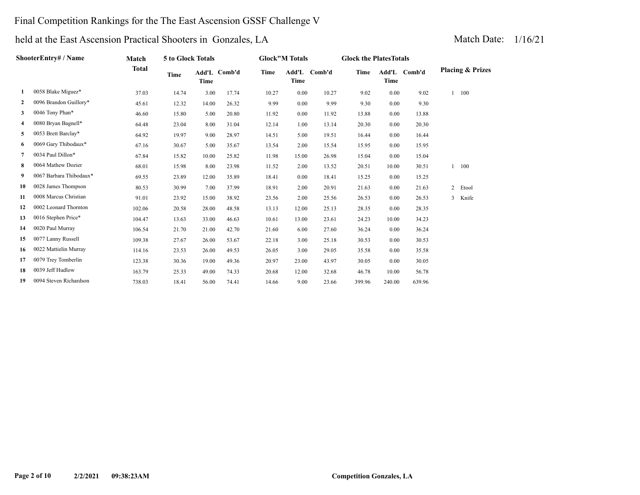#### Final Competition Rankings for the The East Ascension GSSF Challenge V

| ShooterEntry# / Name |                         | Match        | 5 to Glock Totals |       |              | <b>Glock</b> "M Totals |               |        | <b>Glock the PlatesTotals</b> |        |              |                             |
|----------------------|-------------------------|--------------|-------------------|-------|--------------|------------------------|---------------|--------|-------------------------------|--------|--------------|-----------------------------|
|                      |                         | <b>Total</b> | Time              | Time  | Add'L Comb'd | Time                   | Add'L<br>Time | Comb'd | <b>Time</b>                   | Time   | Add'L Comb'd | <b>Placing &amp; Prizes</b> |
| 1                    | 0058 Blake Miguez*      | 37.03        | 14.74             | 3.00  | 17.74        | 10.27                  | 0.00          | 10.27  | 9.02                          | 0.00   | 9.02         | $1 - 100$                   |
| $\mathbf{2}$         | 0096 Brandon Guillory*  | 45.61        | 12.32             | 14.00 | 26.32        | 9.99                   | 0.00          | 9.99   | 9.30                          | 0.00   | 9.30         |                             |
| 3                    | 0046 Tony Phan*         | 46.60        | 15.80             | 5.00  | 20.80        | 11.92                  | 0.00          | 11.92  | 13.88                         | 0.00   | 13.88        |                             |
| 4                    | 0080 Bryan Bagnell*     | 64.48        | 23.04             | 8.00  | 31.04        | 12.14                  | 1.00          | 13.14  | 20.30                         | 0.00   | 20.30        |                             |
| 5                    | 0053 Brett Barclay*     | 64.92        | 19.97             | 9.00  | 28.97        | 14.51                  | 5.00          | 19.51  | 16.44                         | 0.00   | 16.44        |                             |
| 6                    | 0069 Gary Thibodaux*    | 67.16        | 30.67             | 5.00  | 35.67        | 13.54                  | 2.00          | 15.54  | 15.95                         | 0.00   | 15.95        |                             |
| 7                    | 0034 Paul Dillon*       | 67.84        | 15.82             | 10.00 | 25.82        | 11.98                  | 15.00         | 26.98  | 15.04                         | 0.00   | 15.04        |                             |
| 8                    | 0064 Mathew Dozier      | 68.01        | 15.98             | 8.00  | 23.98        | 11.52                  | 2.00          | 13.52  | 20.51                         | 10.00  | 30.51        | $1 - 100$                   |
| 9                    | 0067 Barbara Thibodaux* | 69.55        | 23.89             | 12.00 | 35.89        | 18.41                  | 0.00          | 18.41  | 15.25                         | 0.00   | 15.25        |                             |
| 10                   | 0028 James Thompson     | 80.53        | 30.99             | 7.00  | 37.99        | 18.91                  | 2.00          | 20.91  | 21.63                         | 0.00   | 21.63        | 2 Etool                     |
| 11                   | 0008 Marcus Christian   | 91.01        | 23.92             | 15.00 | 38.92        | 23.56                  | 2.00          | 25.56  | 26.53                         | 0.00   | 26.53        | 3 Knife                     |
| 12                   | 0002 Leonard Thornton   | 102.06       | 20.58             | 28.00 | 48.58        | 13.13                  | 12.00         | 25.13  | 28.35                         | 0.00   | 28.35        |                             |
| 13                   | 0016 Stephen Price*     | 104.47       | 13.63             | 33.00 | 46.63        | 10.61                  | 13.00         | 23.61  | 24.23                         | 10.00  | 34.23        |                             |
| 14                   | 0020 Paul Murray        | 106.54       | 21.70             | 21.00 | 42.70        | 21.60                  | 6.00          | 27.60  | 36.24                         | 0.00   | 36.24        |                             |
| 15                   | 0077 Lanny Russell      | 109.38       | 27.67             | 26.00 | 53.67        | 22.18                  | 3.00          | 25.18  | 30.53                         | 0.00   | 30.53        |                             |
| 16                   | 0022 Mattielin Murray   | 114.16       | 23.53             | 26.00 | 49.53        | 26.05                  | 3.00          | 29.05  | 35.58                         | 0.00   | 35.58        |                             |
| 17                   | 0079 Trey Tomberlin     | 123.38       | 30.36             | 19.00 | 49.36        | 20.97                  | 23.00         | 43.97  | 30.05                         | 0.00   | 30.05        |                             |
| 18                   | 0039 Jeff Hudlow        | 163.79       | 25.33             | 49.00 | 74.33        | 20.68                  | 12.00         | 32.68  | 46.78                         | 10.00  | 56.78        |                             |
| 19                   | 0094 Steven Richardson  | 738.03       | 18.41             | 56.00 | 74.41        | 14.66                  | 9.00          | 23.66  | 399.96                        | 240.00 | 639.96       |                             |
|                      |                         |              |                   |       |              |                        |               |        |                               |        |              |                             |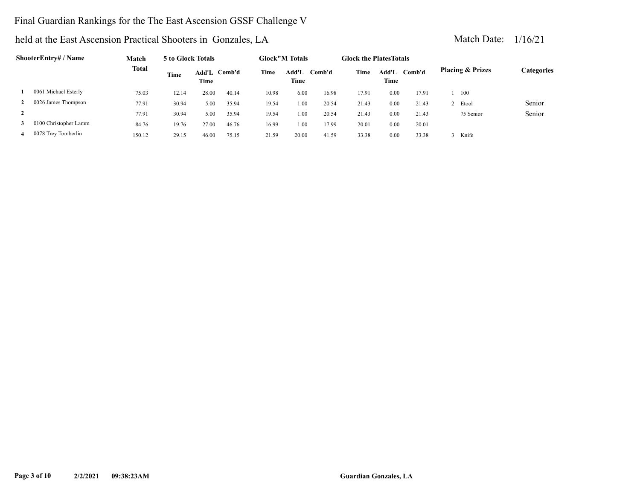#### Final Guardian Rankings for the The East Ascension GSSF Challenge V

| ShooterEntry# / Name |                       | Match        | 5 to Glock Totals |                      |       | <b>Glock</b> "M Totals |               | <b>Glock the Plates Totals</b> |       |               |        |                             |           |                   |
|----------------------|-----------------------|--------------|-------------------|----------------------|-------|------------------------|---------------|--------------------------------|-------|---------------|--------|-----------------------------|-----------|-------------------|
|                      |                       | <b>Total</b> | <b>Time</b>       | Add'L Comb'd<br>Time |       | Time                   | Add'L<br>Time | Comb'd                         | Time  | Add'L<br>Time | Comb'd | <b>Placing &amp; Prizes</b> |           | <b>Categories</b> |
|                      | 0061 Michael Esterly  | 75.03        | 12.14             | 28.00                | 40.14 | 10.98                  | 6.00          | 16.98                          | 17.91 | 0.00          | 17.91  |                             | 100       |                   |
| 2                    | 0026 James Thompson   | 77.91        | 30.94             | 5.00                 | 35.94 | 19.54                  | 1.00          | 20.54                          | 21.43 | 0.00          | 21.43  |                             | Etool     | Senior            |
| $\mathbf{2}$         |                       | 77.91        | 30.94             | 5.00                 | 35.94 | 19.54                  | 1.00          | 20.54                          | 21.43 | 0.00          | 21.43  |                             | 75 Senior | Senior            |
| 3                    | 0100 Christopher Lamm | 84.76        | 19.76             | 27.00                | 46.76 | 16.99                  | 1.00          | 17.99                          | 20.01 | 0.00          | 20.01  |                             |           |                   |
| 4                    | 0078 Trey Tomberlin   | 150.12       | 29.15             | 46.00                | 75.15 | 21.59                  | 20.00         | 41.59                          | 33.38 | 0.00          | 33.38  |                             | Knife     |                   |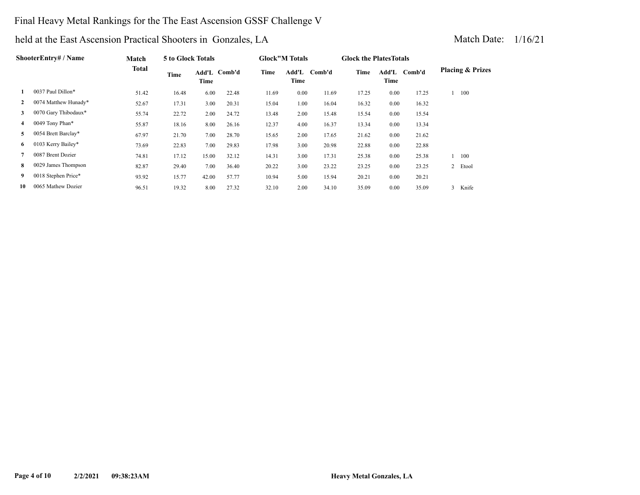#### Final Heavy Metal Rankings for the The East Ascension GSSF Challenge V

| ShooterEntry# / Name |                      | Match | 5 to Glock Totals |       |              | <b>Glock</b> "M Totals |      |              | <b>Glock the Plates Totals</b> |      |              |                             |  |  |
|----------------------|----------------------|-------|-------------------|-------|--------------|------------------------|------|--------------|--------------------------------|------|--------------|-----------------------------|--|--|
|                      |                      | Total | Time              | Time  | Add'L Comb'd | Time                   | Time | Add'L Comb'd | Time                           | Time | Add'L Comb'd | <b>Placing &amp; Prizes</b> |  |  |
| 1                    | 0037 Paul Dillon*    | 51.42 | 16.48             | 6.00  | 22.48        | 11.69                  | 0.00 | 11.69        | 17.25                          | 0.00 | 17.25        | 100                         |  |  |
| $\mathbf{2}$         | 0074 Matthew Hunady* | 52.67 | 17.31             | 3.00  | 20.31        | 15.04                  | 1.00 | 16.04        | 16.32                          | 0.00 | 16.32        |                             |  |  |
| 3                    | 0070 Gary Thibodaux* | 55.74 | 22.72             | 2.00  | 24.72        | 13.48                  | 2.00 | 15.48        | 15.54                          | 0.00 | 15.54        |                             |  |  |
| 4                    | 0049 Tony Phan*      | 55.87 | 18.16             | 8.00  | 26.16        | 12.37                  | 4.00 | 16.37        | 13.34                          | 0.00 | 13.34        |                             |  |  |
| 5                    | 0054 Brett Barclay*  | 67.97 | 21.70             | 7.00  | 28.70        | 15.65                  | 2.00 | 17.65        | 21.62                          | 0.00 | 21.62        |                             |  |  |
| 6                    | 0103 Kerry Bailey*   | 73.69 | 22.83             | 7.00  | 29.83        | 17.98                  | 3.00 | 20.98        | 22.88                          | 0.00 | 22.88        |                             |  |  |
| 7                    | 0087 Brent Dozier    | 74.81 | 17.12             | 15.00 | 32.12        | 14.31                  | 3.00 | 17.31        | 25.38                          | 0.00 | 25.38        | 100                         |  |  |
| 8                    | 0029 James Thompson  | 82.87 | 29.40             | 7.00  | 36.40        | 20.22                  | 3.00 | 23.22        | 23.25                          | 0.00 | 23.25        | $\overline{2}$<br>Etool     |  |  |
| 9                    | 0018 Stephen Price*  | 93.92 | 15.77             | 42.00 | 57.77        | 10.94                  | 5.00 | 15.94        | 20.21                          | 0.00 | 20.21        |                             |  |  |
| 10                   | 0065 Mathew Dozier   | 96.51 | 19.32             | 8.00  | 27.32        | 32.10                  | 2.00 | 34.10        | 35.09                          | 0.00 | 35.09        | 3<br>Knife                  |  |  |
|                      |                      |       |                   |       |              |                        |      |              |                                |      |              |                             |  |  |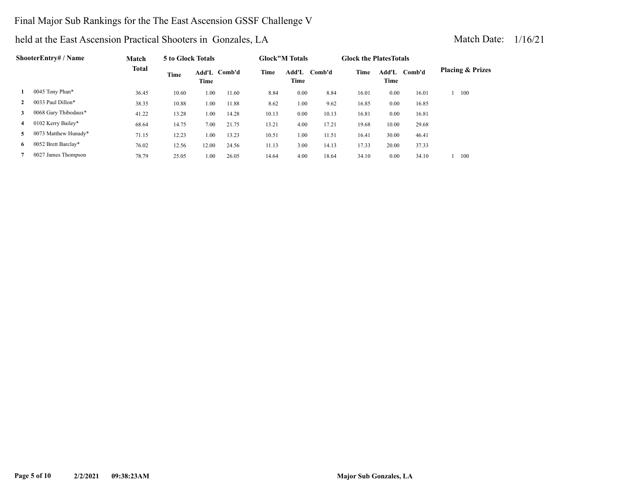#### Final Major Sub Rankings for the The East Ascension GSSF Challenge V

| ShooterEntry# / Name |                      | Match        | 5 to Glock Totals |       |              | <b>Glock</b> "M Totals |      |              | <b>Glock the Plates Totals</b> |               |        |                             |  |
|----------------------|----------------------|--------------|-------------------|-------|--------------|------------------------|------|--------------|--------------------------------|---------------|--------|-----------------------------|--|
|                      |                      | <b>Total</b> | Time              | Time  | Add'L Comb'd | Time                   | Time | Add'L Comb'd | Time                           | Add'L<br>Time | Comb'd | <b>Placing &amp; Prizes</b> |  |
|                      | 0045 Tony Phan*      | 36.45        | 10.60             | 1.00  | 11.60        | 8.84                   | 0.00 | 8.84         | 16.01                          | 0.00          | 16.01  | 100                         |  |
| $\mathbf{2}$         | 0033 Paul Dillon*    | 38.35        | 10.88             | 1.00  | 11.88        | 8.62                   | 1.00 | 9.62         | 16.85                          | 0.00          | 16.85  |                             |  |
| 3                    | 0068 Gary Thibodaux* | 41.22        | 13.28             | 1.00  | 14.28        | 10.13                  | 0.00 | 10.13        | 16.81                          | 0.00          | 16.81  |                             |  |
| 4                    | 0102 Kerry Bailey*   | 68.64        | 14.75             | 7.00  | 21.75        | 13.21                  | 4.00 | 17.21        | 19.68                          | 10.00         | 29.68  |                             |  |
| 5.                   | 0073 Matthew Hunady* | 71.15        | 12.23             | 1.00  | 13.23        | 10.51                  | 1.00 | 11.51        | 16.41                          | 30.00         | 46.41  |                             |  |
| 6.                   | 0052 Brett Barclay*  | 76.02        | 12.56             | 12.00 | 24.56        | 11.13                  | 3.00 | 14.13        | 17.33                          | 20.00         | 37.33  |                             |  |
|                      | 0027 James Thompson  | 78.79        | 25.05             | 1.00  | 26.05        | 14.64                  | 4.00 | 18.64        | 34.10                          | 0.00          | 34.10  | 100                         |  |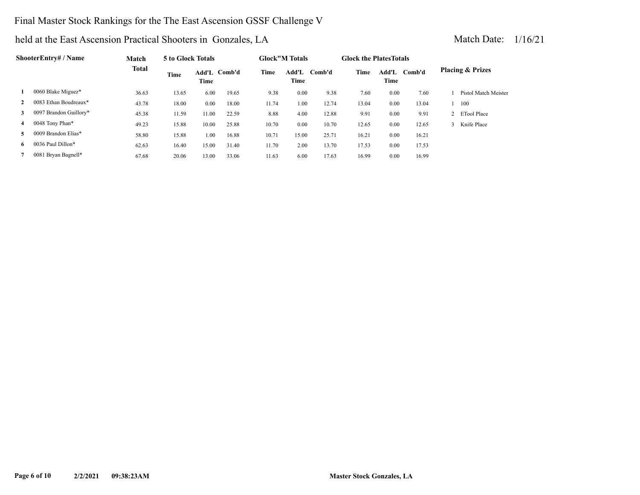#### Final Master Stock Rankings for the The East Ascension GSSF Challenge V

| <b>ShooterEntry# / Name</b> |                        | Match        | 5 to Glock Totals |       |              |       | <b>Glock"M Totals</b> |        | <b>Glock the Plates Totals</b> |               |        |                             |
|-----------------------------|------------------------|--------------|-------------------|-------|--------------|-------|-----------------------|--------|--------------------------------|---------------|--------|-----------------------------|
|                             |                        | <b>Total</b> | Time              | Time  | Add'L Comb'd | Time  | Add'L<br>Time         | Comb'd | Time                           | Add'L<br>Time | Comb'd | <b>Placing &amp; Prizes</b> |
| 1                           | 0060 Blake Miguez*     | 36.63        | 13.65             | 6.00  | 19.65        | 9.38  | 0.00                  | 9.38   | 7.60                           | 0.00          | 7.60   | Pistol Match Meister        |
|                             | 0083 Ethan Boudreaux*  | 43.78        | 18.00             | 0.00  | 18.00        | 11.74 | 1.00                  | 12.74  | 13.04                          | 0.00          | 13.04  | 100                         |
| 3                           | 0097 Brandon Guillory* | 45.38        | 11.59             | 11.00 | 22.59        | 8.88  | 4.00                  | 12.88  | 9.91                           | 0.00          | 9.91   | 2 ETool Place               |
| 4                           | 0048 Tony Phan*        | 49.23        | 15.88             | 10.00 | 25.88        | 10.70 | 0.00                  | 10.70  | 12.65                          | 0.00          | 12.65  | 3 Knife Place               |
| 5.                          | 0009 Brandon Elias*    | 58.80        | 15.88             | 1.00  | 16.88        | 10.71 | 15.00                 | 25.71  | 16.21                          | 0.00          | 16.21  |                             |
| 6.                          | 0036 Paul Dillon*      | 62.63        | 16.40             | 15.00 | 31.40        | 11.70 | 2.00                  | 13.70  | 17.53                          | 0.00          | 17.53  |                             |
|                             | 0081 Bryan Bagnell*    | 67.68        | 20.06             | 13.00 | 33.06        | 11.63 | 6.00                  | 17.63  | 16.99                          | 0.00          | 16.99  |                             |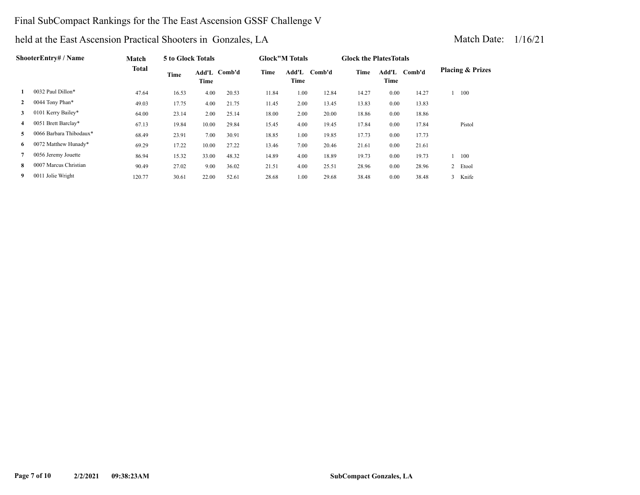#### Final SubCompact Rankings for the The East Ascension GSSF Challenge V

### held at the East Ascension Practical Shooters in Gonzales, LA Match Date: 1/16/21

| <b>ShooterEntry#/Name</b> |                     | Match        | 5 to Glock Totals |       |              | <b>Glock</b> "M Totals |                         | <b>Glock the Plates Totals</b> |       |               |        |                             |
|---------------------------|---------------------|--------------|-------------------|-------|--------------|------------------------|-------------------------|--------------------------------|-------|---------------|--------|-----------------------------|
|                           |                     | <b>Total</b> | Time              | Time  | Add'L Comb'd | Time                   | Add'L<br>Comb'd<br>Time |                                | Time  | Add'L<br>Time | Comb'd | <b>Placing &amp; Prizes</b> |
|                           | 0032 Paul Dillon*   | 47.64        | 16.53             | 4.00  | 20.53        | 11.84                  | 1.00                    | 12.84                          | 14.27 | 0.00          | 14.27  | 100                         |
|                           | 0044 Tony Phan*     | 49.03        | 17.75             | 4.00  | 21.75        | 11.45                  | 2.00                    | 13.45                          | 13.83 | 0.00          | 13.83  |                             |
|                           | 0101 Kerry Bailey*  | 64.00        | 23.14             | 2.00  | 25.14        | 18.00                  | 2.00                    | 20.00                          | 18.86 | 0.00          | 18.86  |                             |
| 4                         | 0051 Brett Barclay* | 67.13        | 19.84             | 10.00 | 29.84        | 15.45                  | 4.00                    | 19.45                          | 17.84 | 0.00          | 17.84  | Pistol                      |

 **5** 0066 Barbara Thibodaux\* 68.49 23.91 7.00 30.91 18.85 1.00 19.85 17.73 0.00 17.73  **6** 0072 Matthew Hunady\* 69.29 17.22 10.00 27.22 13.46 7.00 20.46 21.61 0.00 21.61

 **7** 0056 Jeremy Jouette 86.94 15.32 33.00 48.32 14.89 4.00 18.89 19.73 0.00 19.73 1 100 0007 Marcus Christian 90.49 27.02 9.00 36.02 21.51 4.00 25.51 28.96 0.00 28.96 2 Etool **8 9** 0011 Jolie Wright 120.77 30.61 22.00 52.61 28.68 1.00 29.68 38.48 0.00 38.48 3 Knife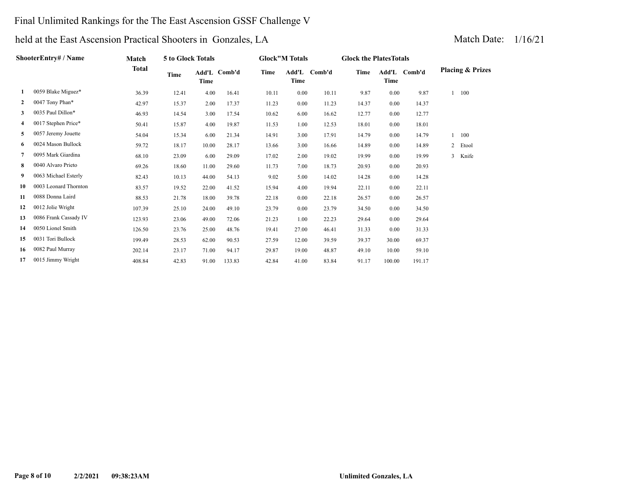#### Final Unlimited Rankings for the The East Ascension GSSF Challenge V

#### held at the East Ascension Practical Shooters in Gonzales, LA Match Date: 1/16/21

#### **Match Total ShooterEntry# / Name Add'L Comb'd Time Time Glock the PlatesTotals Add'L Comb'd Time Time Glock"M Totals Add'L Comb'd Time 5 to Glock Totals Placing & Prizes Time 1** 0059 Blake Miguez\* 36.39 12.41 4.00 16.41 10.11 0.00 10.11 9.87 0.00 9.87 1 100  **2** 0047 Tony Phan\* 42.97 15.37 2.00 17.37 11.23 0.00 11.23 14.37 0.00 14.37  **3** 0035 Paul Dillon\* 46.93 14.54 3.00 17.54 10.62 6.00 16.62 12.77 0.00 12.77  **4** 0017 Stephen Price\* 50.41 15.87 4.00 19.87 11.53 1.00 12.53 18.01 0.00 18.01  **5** 0057 Jeremy Jouette 54.04 15.34 6.00 21.34 14.91 3.00 17.91 14.79 0.00 14.79 1 100 0024 Mason Bullock 59.72 18.17 10.00 28.17 13.66 3.00 16.66 14.89 0.00 14.89 2 Etool **6 7** 0095 Mark Giardina 68.10 23.09 6.00 29.09 17.02 2.00 19.02 19.99 0.00 19.99 3 Knife  **8** 0040 Alvaro Prieto 69.26 18.60 11.00 29.60 11.73 7.00 18.73 20.93 0.00 20.93  **9** 0063 Michael Esterly 82.43 10.13 44.00 54.13 9.02 5.00 14.02 14.28 0.00 14.28  **10** 0003 Leonard Thornton 83.57 19.52 22.00 41.52 15.94 4.00 19.94 22.11 0.00 22.11 **11** 0088 Donna Laird 88.53 21.78 18.00 39.78 22.18 0.00 22.18 26.57 0.00 26.57  **12** 0012 Jolie Wright 107.39 25.10 24.00 49.10 23.79 0.00 23.79 34.50 0.00 34.50  **13** 0086 Frank Cassady IV 123.93 23.06 49.00 72.06 21.23 1.00 22.23 29.64 0.00 29.64  **14** 0050 Lionel Smith 126.50 23.76 25.00 48.76 19.41 27.00 46.41 31.33 0.00 31.33  **15** 0031 Tori Bullock 199.49 28.53 62.00 90.53 27.59 12.00 39.59 39.37 30.00 69.37  **16** 0082 Paul Murray 202.14 23.17 71.00 94.17 29.87 19.00 48.87 49.10 10.00 59.10  **17** 0015 Jimmy Wright 408.84 42.83 91.00 133.83 42.84 41.00 83.84 91.17 100.00 191.17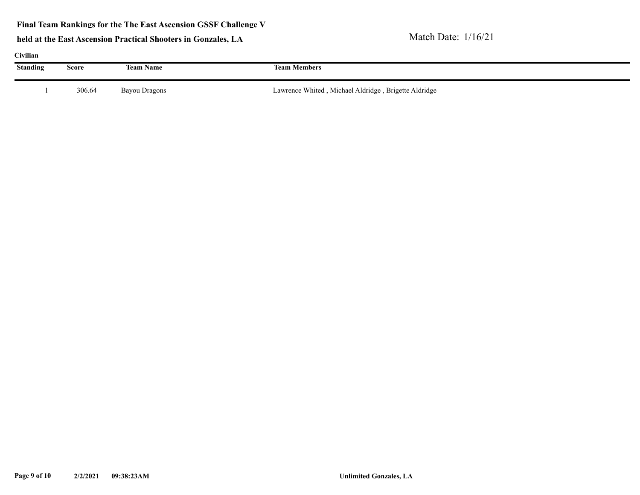**Final Team Rankings for the The East Ascension GSSF Challenge V**

| Civilian        |        |                  |                                                      |
|-----------------|--------|------------------|------------------------------------------------------|
| <b>Standing</b> | Score  | <b>Team Name</b> | <b>Team Members</b>                                  |
|                 | 306.64 | Bayou Dragons    | Lawrence Whited, Michael Aldridge, Brigette Aldridge |